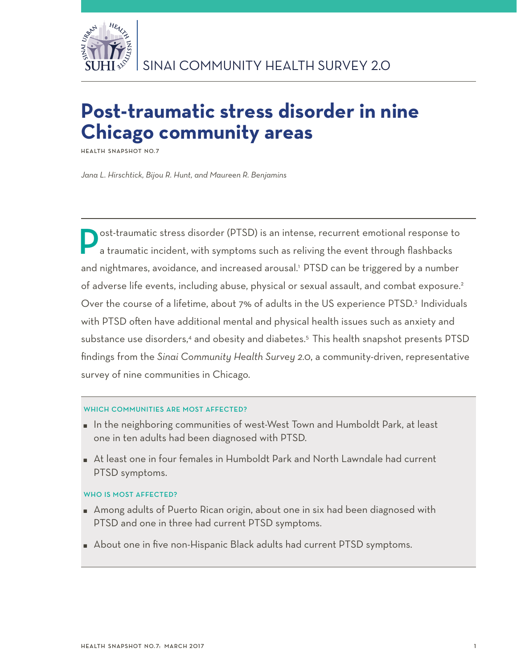

# **Post-traumatic stress disorder in nine Chicago community areas**

**Health Snapshot No.7**

*Jana L. Hirschtick, Bijou R. Hunt, and Maureen R. Benjamins*

ost-traumatic stress disorder (PTSD) is an intense, recurrent emotional response to a traumatic incident, with symptoms such as reliving the event through flashbacks and nightmares, avoidance, and increased arousal.<sup>1</sup> PTSD can be triggered by a number of adverse life events, including abuse, physical or sexual assault, and combat exposure.<sup>2</sup> Over the course of a lifetime, about 7% of adults in the US experience PTSD.<sup>3</sup> Individuals with PTSD often have additional mental and physical health issues such as anxiety and substance use disorders,<sup>4</sup> and obesity and diabetes.<sup>5</sup> This health snapshot presents PTSD findings from the *Sinai Community Health Survey 2.0*, a community-driven, representative survey of nine communities in Chicago.

## WHICH COMMUNITIES ARE MOST AFFECTED?

- In the neighboring communities of west-West Town and Humboldt Park, at least one in ten adults had been diagnosed with PTSD.
- At least one in four females in Humboldt Park and North Lawndale had current PTSD symptoms.

## WHO IS MOST AFFECTED?

- Among adults of Puerto Rican origin, about one in six had been diagnosed with PTSD and one in three had current PTSD symptoms.
- About one in five non-Hispanic Black adults had current PTSD symptoms.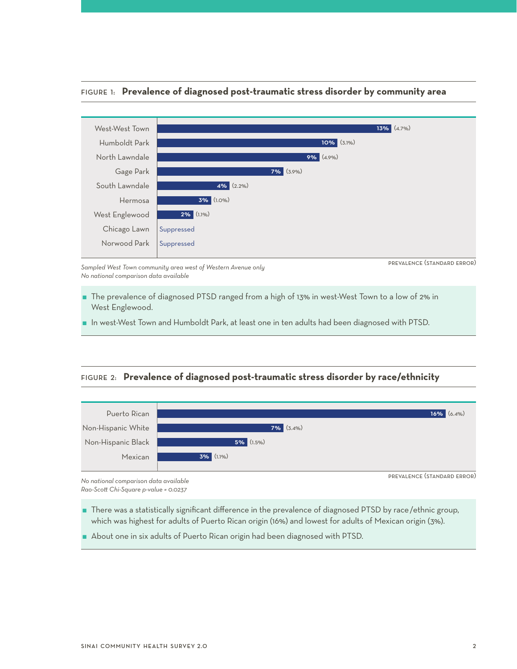# Figure 1: **Prevalence of diagnosed post-traumatic stress disorder by community area**



*Sampled West Town community area west of Western Avenue only No national comparison data available*

prevalence (standard error)

- The prevalence of diagnosed PTSD ranged from a high of 13% in west-West Town to a low of 2% in West Englewood.
- In west-West Town and Humboldt Park, at least one in ten adults had been diagnosed with PTSD.

## Figure 2: **Prevalence of diagnosed post-traumatic stress disorder by race/ethnicity**



*No national comparison data available Rao-Scott Chi-Square p-value = 0.0237*

 There was a statistically significant difference in the prevalence of diagnosed PTSD by race/ethnic group, which was highest for adults of Puerto Rican origin (16%) and lowest for adults of Mexican origin (3%).

About one in six adults of Puerto Rican origin had been diagnosed with PTSD.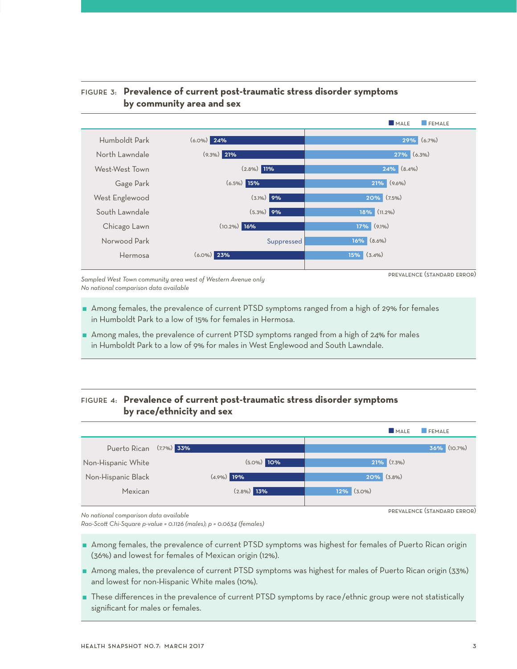# Figure 3: **Prevalence of current post-traumatic stress disorder symptoms by community area and sex**



*Sampled West Town community area west of Western Avenue only No national comparison data available*

prevalence (standard error)

prevalence (standard error)

- Among females, the prevalence of current PTSD symptoms ranged from a high of 29% for females in Humboldt Park to a low of 15% for females in Hermosa.
- Among males, the prevalence of current PTSD symptoms ranged from a high of 24% for males in Humboldt Park to a low of 9% for males in West Englewood and South Lawndale.

# Figure 4: **Prevalence of current post-traumatic stress disorder symptoms by race/ethnicity and sex**



*No national comparison data available*

*Rao-Scott Chi-Square p-value = 0.1126 (males); p = 0.0634 (females)*

- Among females, the prevalence of current PTSD symptoms was highest for females of Puerto Rican origin (36%) and lowest for females of Mexican origin (12%).
- Among males, the prevalence of current PTSD symptoms was highest for males of Puerto Rican origin (33%) and lowest for non-Hispanic White males (10%).
- These differences in the prevalence of current PTSD symptoms by race/ethnic group were not statistically significant for males or females.